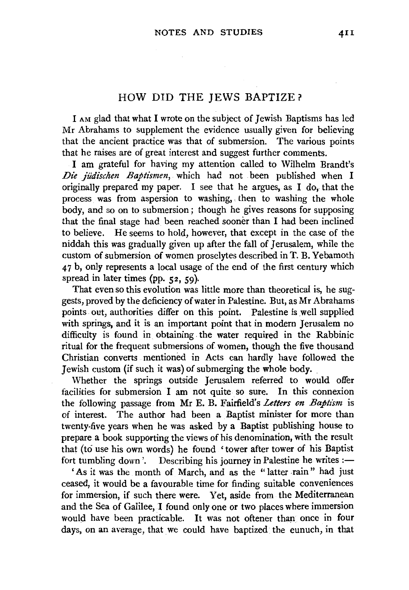## HOW DID THE JEWS BAPTIZE?

I AM glad that what I wrote on the subject of Jewish Baptisms has led Mr Abrahams to supplement the evidence usually given for believing that the ancient practice was that of submersion. The various points that he raises are of great interest and suggest further comments.

I am grateful for having my attention called to Wilhelm Brandt's *Die judischen Baptismen,* which had not been published when I originally prepared my paper. I see that he argues, as I do, that the process was from aspersion to washing, then to washing the whole body, and so on to submersion; though he gives reasons for supposing that the final stage had been reached sooner than I had been inclined to believe. He seems to hold, however, that except in the case of the niddah this was gradually given up after the fall of Jerusalem, while the custom of submersion of women proselytes described in T. B. Yebamoth 4 7 b, only represents a local usage of the end of the first century which spread in later times (pp.  $52, 59$ ).

That even so this evolution was little more than theoretical is, he suggests, proved by the deficiency of water in Palestine. But, as Mr Abrahams points out, authorities differ on this point. Palestine is well supplied with springs, and it is an important point that in modern Jerusalem no difficulty is found in. obtaining the water required in the Rabbinic ritual for the frequent submersions of women, though the five thousand Christian converts mentioned in Acts can hardly have followed the Jewish custom (if such it was) of submerging the whole body.

Whether the springs outside Jerusalem referred to would offer facilities for submersion I am not quite so sure. In this connexion the following passage from Mr E. B. Fairfield's *Letters on Baptism* is of interest. The author had been a Baptist minister for more than twenty-five years when he was asked by a Baptist publishing house to prepare a book supporting the views of his denomination, with the result that (to use his own words) he found 'tower after tower of his Baptist fort tumbling down'. Describing his journey in Palestine he writes  $:=$ 

'As it was the month of March, and as the ''latter -rain" had just ceased, it would be a favourable time for finding suitable conveniences for immersion, if such there were. Yet, aside from the Mediterranean and the Sea of Galilee, I found only one or two places where immersion would have been practicable. It was not oftener than once in four days, on an average, that we could have baptized the eunuch, in that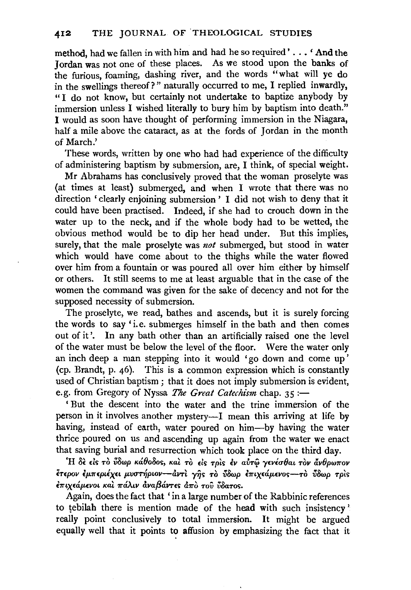method, had we fallen in with him and had he so required' ..• ' And the Jordan was not one of these places. As we stood upon the banks of the furious, foaming, dashing river, and the words "what will ye do in the swellings thereof?" naturally occurred to me, I replied inwardly, "I do not know, but certainly not undertake to baptize anybody by immersion unless I wished literally to bury him by baptism into death." I would as soon have thought of performing immersion in the Niagara, half a mile above the cataract, as at the fords of Jordan in the month of March.'

These words, written by one who had had experience of the difficulty of administering baptism by submersion, are, I think, of special weight.

Mr Abrahams has conclusively proved that the woman proselyte was (at times at least) submerged, and when I wrote that there was no direction ' clearly enjoining submersion ' I did not wish to deny that it could have been practised. Indeed, if she had to crouch down in the water up to the neck, and if the whole body had to be wetted, the obvious method would be to dip her head under. But this implies, surely, that the male proselyte was *not* submerged, but stood in water which would have come about to the thighs while the water flowed over him from a fountain or was poured all over him either by himself or others. It still seems to me at least arguable that in the case of the women the command was given for the sake of decency and not for the supposed necessity of submersion.

The proselyte, we read, bathes and ascends, but it is surely forcing the words to say' i.e. submerges himself in the bath and then comes out of it'. In any bath other than an artificially raised one the level of the water must be below the level of the floor. Were the water only an inch deep a man stepping into it would 'go down and come up ' (cp. Brandt, p. 46). This is a common expression which is constantly used of Christian baptism ; that it does not imply submersion is evident, e.g. from Gregory of Nyssa *The Great Catechism* chap. 35 :-

' But the descent into the water and the trine immersion of the person in it involves another mystery—I mean this arriving at life by having, instead of earth, water poured on him-by having the water thrice poured on us and ascending up again from the water we enact that saving burial and resurrection which took place on the third day.

'H *8t* t:ls *TO v8wp Ka0o8os, Kal. TO* ~is *Tpts £v alml'* y~vicrOat *TOV ilvOpw-rrov*   $\tilde{\epsilon}$ τερον έμπεριέχει μυστήριον--άντι γης το ύδωρ επιχεάμενος--το ύδωρ τρις £-rrtx~a.p.~vot *Kat 7raAW* dva{3aVT~S d7ro TOU *v8aTOS.* 

Again, does the fact that 'in a large number of the Rabbinic references to tebilah there is mention made of the head with such insistency ' really point conclusively to total immersion. It might be argued equally well that it points to affusion by emphasizing the fact that it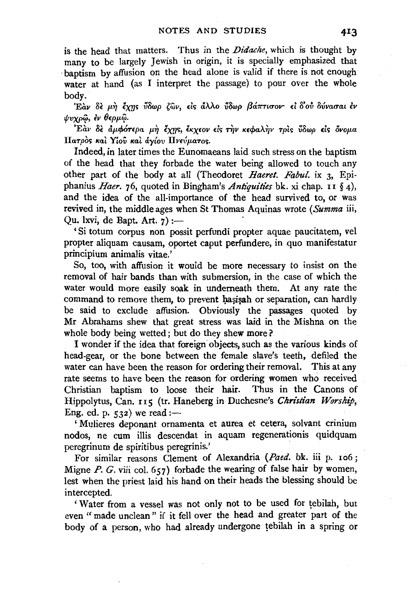is the head that matters. Thus in the Didache, which is thought by many to be largely Jewish in origin, it is specially emphasized that baptism by affusion on the head alone is valid if there is not enough water at hand (as I interpret the passage) to pour over the whole body.

Εάν δε μη έχης ύδωρ ζών, είς άλλο ύδωρ βάπτισον· εί δ'ού δύνασαι έν ψυχρώ, έν θερμώ.

Εάν δε άμφότερα μη έχης, έκχεον είς την κεφαλην τρίς ύδωρ είς όνομα Πατρός και Υίου και άγίου Πνεύματος.

Indeed, in later times the Eunomaeans laid such stress on the baptism of the head that they forbade the water being allowed to touch any other part of the body at all (Theodoret Haeret. Fabul. ix 3, Epiphanius Haer. 76, quoted in Bingham's Antiquities bk. xi chap. 11 § 4), and the idea of the all-importance of the head survived to, or was revived in, the middle ages when St Thomas Aquinas wrote (Summa iii, Qu. 1xvi, de Bapt. Art. 7) :-

'Si totum corpus non possit perfundi propter aquae paucitatem, vel propter aliquam causam, oportet caput perfundere, in quo manifestatur principium animalis vitae.'

So, too, with affusion it would be more necessary to insist on the removal of hair bands than with submersion, in the case of which the water would more easily soak in underneath them. At any rate the command to remove them, to prevent hasisah or separation, can hardly be said to exclude affusion. Obviously the passages quoted by Mr Abrahams shew that great stress was laid in the Mishna on the whole body being wetted; but do they shew more?

I wonder if the idea that foreign objects, such as the various kinds of head-gear, or the bone between the female slave's teeth, defiled the water can have been the reason for ordering their removal. This at any rate seems to have been the reason for ordering women who received Christian baptism to loose their hair. Thus in the Canons of Hippolytus, Can. 115 (tr. Haneberg in Duchesne's Christian Worship. Eng. ed. p.  $532$ ) we read :-

'Mulieres deponant ornamenta et aurea et cetera, solvant crinium nodos, ne cum illis descendat in aquam regenerationis quidquam peregrinum de spiritibus peregrinis.'

For similar reasons Clement of Alexandria (Paed. bk. iii p. 106; Migne  $P$ . G. viii col. 657) forbade the wearing of false hair by women. lest when the priest laid his hand on their heads the blessing should be intercepted.

'Water from a vessel was not only not to be used for tebilah, but even "made unclean" if it fell over the head and greater part of the body of a person, who had already undergone tebilah in a spring or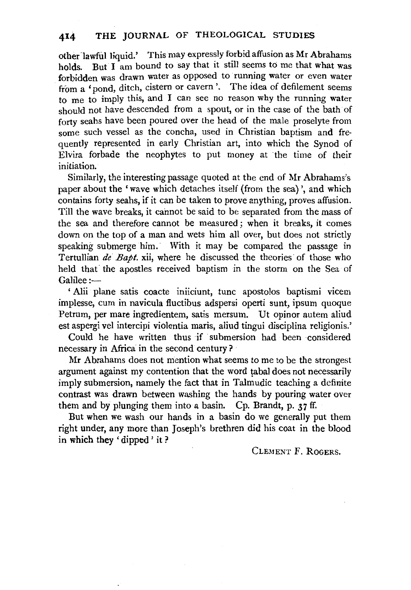other lawful liquid.' This may expressly forbid affusion as Mr Abrahams holds. But I am bound to say that it still seems to me that what was forbidden was drawn water as opposed to running water or even water from a 'pond, ditch, cistern or cavern'. The idea of defilement seems to me to imply this, and I can see no reason why the running water should not have descended from a spout, or in the case of the bath of forty seahs have been poured over the head of the male proselyte from some such vessel as the concha, used in Christian baptism and frequently represented in early Christian art, into which the Synod of Elvira forbade the neophytes to put money at the time of their initiation.

Similarly, the interesting passage quoted at the end of Mr Abrahams's paper about the 'wave which detaches itself (from the sea)', and which contains forty seahs, if it can be taken to prove anything, proves affusion. Till the wave breaks, it cannot be said to be separated from the mass of the sea and therefore cannot be measured; when it breaks, it comes down on the top of a man and wets him all over, but does not strictly speaking submerge him. With it may be compared the passage in Tertullian *de Bapt*. xii, where he discussed the theories of those who held that the apostles received baptism in the storm on the Sea of Galilee:-

' Alii plane satis coacte iniiciunt, tunc apostolos baptismi vicem implesse, cum in navicula fluctibus adspersi operti sunt, ipsum quoque Petrum, per mare ingredientem, satis mersum. Ut opinor autem aliud est aspergi vel intercipi violentia maris, aliud tingui disciplina religionis.'

Could he have written thus if submersion had been considered necessary in Africa in the second century?

Mr Abrahams does not mention what seems to me to be the strongest argument against my contention that the word tabal does not necessarily imply submersion, namely the fact that in Talmudic teaching a definite contrast was drawn between washing the hands by pouring water over them and by plunging them into a basin. Cp. Brandt, p.  $37$  ff.

But when we wash our hands in a basin do we generally put them right under, any more than Joseph's brethren did his coat in the blood in which they 'dipped ' it ?

CLEMENT F. ROGERS.